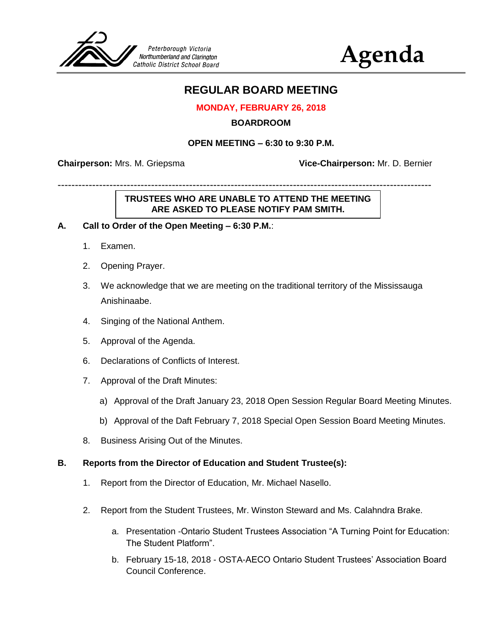

# **Agenda**

# **REGULAR BOARD MEETING**

## **MONDAY, FEBRUARY 26, 2018**

#### **BOARDROOM**

#### **OPEN MEETING – 6:30 to 9:30 P.M.**

------------------------------------------------------------------------------------------------------------

**Chairperson:** Mrs. M. Griepsma **Vice-Chairperson:** Mr. D. Bernier

# **TRUSTEES WHO ARE UNABLE TO ATTEND THE MEETING ARE ASKED TO PLEASE NOTIFY PAM SMITH.**

#### **A. Call to Order of the Open Meeting – 6:30 P.M.**:

- 1. Examen.
- 2. Opening Prayer.
- 3. We acknowledge that we are meeting on the traditional territory of the Mississauga Anishinaabe.
- 4. Singing of the National Anthem.
- 5. Approval of the Agenda.
- 6. Declarations of Conflicts of Interest.
- 7. Approval of the Draft Minutes:
	- a) Approval of the Draft January 23, 2018 Open Session Regular Board Meeting Minutes.
	- b) Approval of the Daft February 7, 2018 Special Open Session Board Meeting Minutes.
- 8. Business Arising Out of the Minutes.

#### **B. Reports from the Director of Education and Student Trustee(s):**

- 1. Report from the Director of Education, Mr. Michael Nasello.
- 2. Report from the Student Trustees, Mr. Winston Steward and Ms. Calahndra Brake.
	- a. Presentation -Ontario Student Trustees Association "A Turning Point for Education: The Student Platform".
	- b. February 15-18, 2018 OSTA-AECO Ontario Student Trustees' Association Board Council Conference.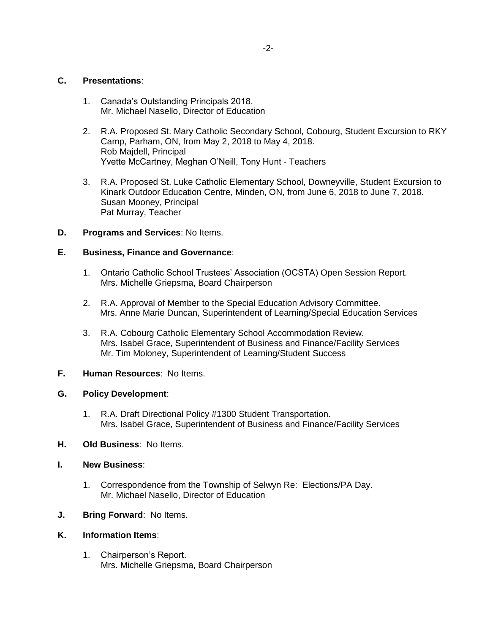#### **C. Presentations**:

- 1. Canada's Outstanding Principals 2018. Mr. Michael Nasello, Director of Education
- 2. R.A. Proposed St. Mary Catholic Secondary School, Cobourg, Student Excursion to RKY Camp, Parham, ON, from May 2, 2018 to May 4, 2018. Rob Majdell, Principal Yvette McCartney, Meghan O'Neill, Tony Hunt - Teachers
- 3. R.A. Proposed St. Luke Catholic Elementary School, Downeyville, Student Excursion to Kinark Outdoor Education Centre, Minden, ON, from June 6, 2018 to June 7, 2018. Susan Mooney, Principal Pat Murray, Teacher
- **D. Programs and Services**: No Items.

## **E. Business, Finance and Governance**:

- 1. Ontario Catholic School Trustees' Association (OCSTA) Open Session Report. Mrs. Michelle Griepsma, Board Chairperson
- 2. R.A. Approval of Member to the Special Education Advisory Committee. Mrs. Anne Marie Duncan, Superintendent of Learning/Special Education Services
- 3. R.A. Cobourg Catholic Elementary School Accommodation Review. Mrs. Isabel Grace, Superintendent of Business and Finance/Facility Services Mr. Tim Moloney, Superintendent of Learning/Student Success

## **F. Human Resources**: No Items.

#### **G. Policy Development**:

- 1. R.A. Draft Directional Policy #1300 Student Transportation. Mrs. Isabel Grace, Superintendent of Business and Finance/Facility Services
- **H. Old Business**: No Items.
- **I. New Business**:
	- 1. Correspondence from the Township of Selwyn Re: Elections/PA Day. Mr. Michael Nasello, Director of Education
- **J. Bring Forward**: No Items.

#### **K. Information Items**:

1. Chairperson's Report. Mrs. Michelle Griepsma, Board Chairperson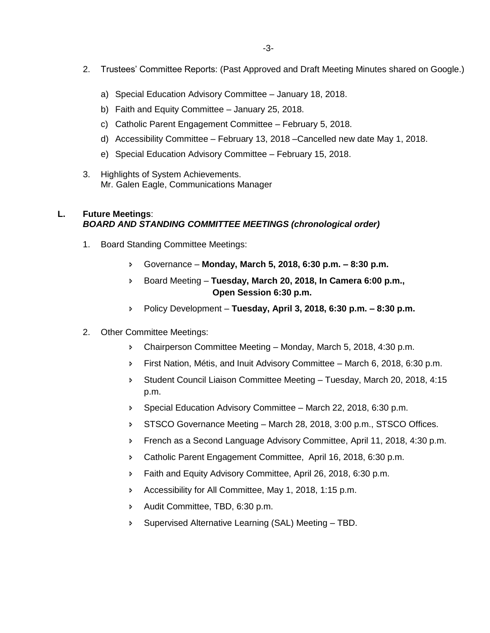- 2. Trustees' Committee Reports: (Past Approved and Draft Meeting Minutes shared on Google.)
	- a) Special Education Advisory Committee January 18, 2018.
	- b) Faith and Equity Committee January 25, 2018.
	- c) Catholic Parent Engagement Committee February 5, 2018.
	- d) Accessibility Committee February 13, 2018 –Cancelled new date May 1, 2018.
	- e) Special Education Advisory Committee February 15, 2018.
- 3. Highlights of System Achievements. Mr. Galen Eagle, Communications Manager

#### **L. Future Meetings**: *BOARD AND STANDING COMMITTEE MEETINGS (chronological order)*

- 1. Board Standing Committee Meetings:
	- Governance **Monday, March 5, 2018, 6:30 p.m. – 8:30 p.m.**
	- Board Meeting **Tuesday, March 20, 2018, In Camera 6:00 p.m., Open Session 6:30 p.m.**
	- Policy Development **Tuesday, April 3, 2018, 6:30 p.m. – 8:30 p.m.**
- 2. Other Committee Meetings:
	- Chairperson Committee Meeting Monday, March 5, 2018, 4:30 p.m.
	- First Nation, Métis, and Inuit Advisory Committee March 6, 2018, 6:30 p.m.
	- Student Council Liaison Committee Meeting Tuesday, March 20, 2018, 4:15 p.m.
	- Special Education Advisory Committee March 22, 2018, 6:30 p.m.
	- STSCO Governance Meeting March 28, 2018, 3:00 p.m., STSCO Offices.
	- **French as a Second Language Advisory Committee, April 11, 2018, 4:30 p.m.**
	- Catholic Parent Engagement Committee, April 16, 2018, 6:30 p.m.
	- **Faith and Equity Advisory Committee, April 26, 2018, 6:30 p.m.**
	- Accessibility for All Committee, May 1, 2018, 1:15 p.m.
	- Audit Committee, TBD, 6:30 p.m.
	- Supervised Alternative Learning (SAL) Meeting TBD.